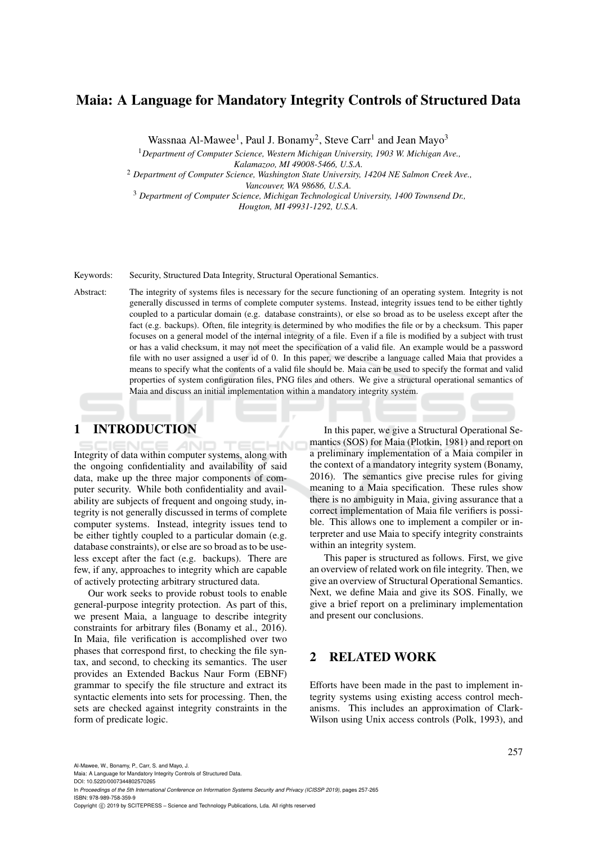# Maia: A Language for Mandatory Integrity Controls of Structured Data

Wassnaa Al-Mawee<sup>1</sup>, Paul J. Bonamy<sup>2</sup>, Steve Carr<sup>1</sup> and Jean Mayo<sup>3</sup>

<sup>1</sup>*Department of Computer Science, Western Michigan University, 1903 W. Michigan Ave.,*

*Kalamazoo, MI 49008-5466, U.S.A.*

<sup>2</sup> *Department of Computer Science, Washington State University, 14204 NE Salmon Creek Ave., Vancouver, WA 98686, U.S.A.*

<sup>3</sup> *Department of Computer Science, Michigan Technological University, 1400 Townsend Dr.,*

*Hougton, MI 49931-1292, U.S.A.*

### Keywords: Security, Structured Data Integrity, Structural Operational Semantics.

Abstract: The integrity of systems files is necessary for the secure functioning of an operating system. Integrity is not generally discussed in terms of complete computer systems. Instead, integrity issues tend to be either tightly coupled to a particular domain (e.g. database constraints), or else so broad as to be useless except after the fact (e.g. backups). Often, file integrity is determined by who modifies the file or by a checksum. This paper focuses on a general model of the internal integrity of a file. Even if a file is modified by a subject with trust or has a valid checksum, it may not meet the specification of a valid file. An example would be a password file with no user assigned a user id of 0. In this paper, we describe a language called Maia that provides a means to specify what the contents of a valid file should be. Maia can be used to specify the format and valid properties of system configuration files, PNG files and others. We give a structural operational semantics of Maia and discuss an initial implementation within a mandatory integrity system.

# 1 INTRODUCTION

Integrity of data within computer systems, along with the ongoing confidentiality and availability of said data, make up the three major components of computer security. While both confidentiality and availability are subjects of frequent and ongoing study, integrity is not generally discussed in terms of complete computer systems. Instead, integrity issues tend to be either tightly coupled to a particular domain (e.g. database constraints), or else are so broad as to be useless except after the fact (e.g. backups). There are few, if any, approaches to integrity which are capable of actively protecting arbitrary structured data.

Our work seeks to provide robust tools to enable general-purpose integrity protection. As part of this, we present Maia, a language to describe integrity constraints for arbitrary files (Bonamy et al., 2016). In Maia, file verification is accomplished over two phases that correspond first, to checking the file syntax, and second, to checking its semantics. The user provides an Extended Backus Naur Form (EBNF) grammar to specify the file structure and extract its syntactic elements into sets for processing. Then, the sets are checked against integrity constraints in the form of predicate logic.

In this paper, we give a Structural Operational Semantics (SOS) for Maia (Plotkin, 1981) and report on a preliminary implementation of a Maia compiler in the context of a mandatory integrity system (Bonamy, 2016). The semantics give precise rules for giving meaning to a Maia specification. These rules show there is no ambiguity in Maia, giving assurance that a correct implementation of Maia file verifiers is possible. This allows one to implement a compiler or interpreter and use Maia to specify integrity constraints within an integrity system.

This paper is structured as follows. First, we give an overview of related work on file integrity. Then, we give an overview of Structural Operational Semantics. Next, we define Maia and give its SOS. Finally, we give a brief report on a preliminary implementation and present our conclusions.

# 2 RELATED WORK

Efforts have been made in the past to implement integrity systems using existing access control mechanisms. This includes an approximation of Clark-Wilson using Unix access controls (Polk, 1993), and

Al-Mawee, W., Bonamy, P., Carr, S. and Mayo, J.

Maia: A Language for Mandatory Integrity Controls of Structured Data

DOI: 10.5220/0007344802570265 In *Proceedings of the 5th International Conference on Information Systems Security and Privacy (ICISSP 2019)*, pages 257-265 ISBN: 978-989-758-359-9

Copyright © 2019 by SCITEPRESS - Science and Technology Publications, Lda. All rights reserved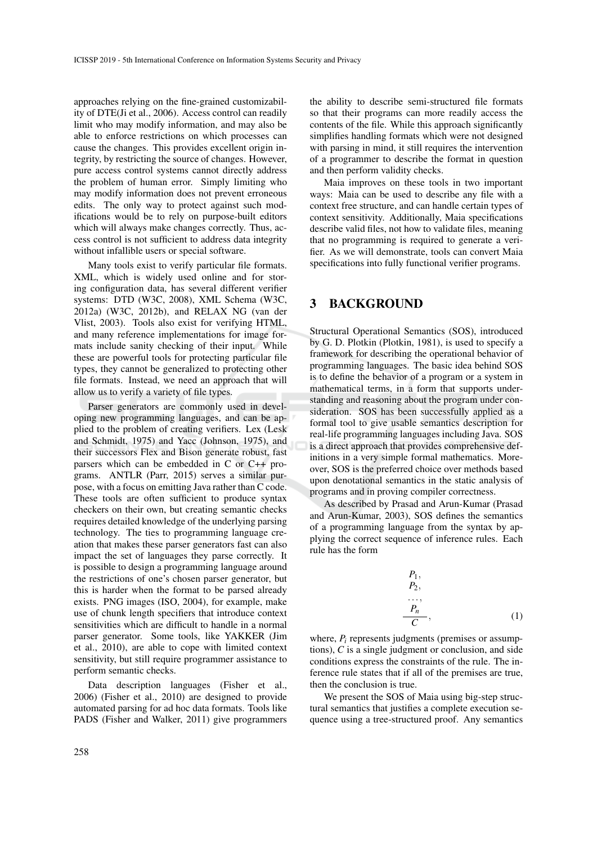approaches relying on the fine-grained customizability of DTE(Ji et al., 2006). Access control can readily limit who may modify information, and may also be able to enforce restrictions on which processes can cause the changes. This provides excellent origin integrity, by restricting the source of changes. However, pure access control systems cannot directly address the problem of human error. Simply limiting who may modify information does not prevent erroneous edits. The only way to protect against such modifications would be to rely on purpose-built editors which will always make changes correctly. Thus, access control is not sufficient to address data integrity without infallible users or special software.

Many tools exist to verify particular file formats. XML, which is widely used online and for storing configuration data, has several different verifier systems: DTD (W3C, 2008), XML Schema (W3C, 2012a) (W3C, 2012b), and RELAX NG (van der Vlist, 2003). Tools also exist for verifying HTML, and many reference implementations for image formats include sanity checking of their input. While these are powerful tools for protecting particular file types, they cannot be generalized to protecting other file formats. Instead, we need an approach that will allow us to verify a variety of file types.

Parser generators are commonly used in developing new programming languages, and can be applied to the problem of creating verifiers. Lex (Lesk and Schmidt, 1975) and Yacc (Johnson, 1975), and their successors Flex and Bison generate robust, fast parsers which can be embedded in C or C++ programs. ANTLR (Parr, 2015) serves a similar purpose, with a focus on emitting Java rather than C code. These tools are often sufficient to produce syntax checkers on their own, but creating semantic checks requires detailed knowledge of the underlying parsing technology. The ties to programming language creation that makes these parser generators fast can also impact the set of languages they parse correctly. It is possible to design a programming language around the restrictions of one's chosen parser generator, but this is harder when the format to be parsed already exists. PNG images (ISO, 2004), for example, make use of chunk length specifiers that introduce context sensitivities which are difficult to handle in a normal parser generator. Some tools, like YAKKER (Jim et al., 2010), are able to cope with limited context sensitivity, but still require programmer assistance to perform semantic checks.

Data description languages (Fisher et al., 2006) (Fisher et al., 2010) are designed to provide automated parsing for ad hoc data formats. Tools like PADS (Fisher and Walker, 2011) give programmers

the ability to describe semi-structured file formats so that their programs can more readily access the contents of the file. While this approach significantly simplifies handling formats which were not designed with parsing in mind, it still requires the intervention of a programmer to describe the format in question and then perform validity checks.

Maia improves on these tools in two important ways: Maia can be used to describe any file with a context free structure, and can handle certain types of context sensitivity. Additionally, Maia specifications describe valid files, not how to validate files, meaning that no programming is required to generate a verifier. As we will demonstrate, tools can convert Maia specifications into fully functional verifier programs.

## 3 BACKGROUND

Structural Operational Semantics (SOS), introduced by G. D. Plotkin (Plotkin, 1981), is used to specify a framework for describing the operational behavior of programming languages. The basic idea behind SOS is to define the behavior of a program or a system in mathematical terms, in a form that supports understanding and reasoning about the program under consideration. SOS has been successfully applied as a formal tool to give usable semantics description for real-life programming languages including Java. SOS is a direct approach that provides comprehensive definitions in a very simple formal mathematics. Moreover, SOS is the preferred choice over methods based upon denotational semantics in the static analysis of programs and in proving compiler correctness.

As described by Prasad and Arun-Kumar (Prasad and Arun-Kumar, 2003), SOS defines the semantics of a programming language from the syntax by applying the correct sequence of inference rules. Each rule has the form

$$
P_1,
$$
  
\n
$$
P_2,
$$
  
\n...,  
\n
$$
P_n,
$$
  
\n(1)

where,  $P_i$  represents judgments (premises or assumptions), *C* is a single judgment or conclusion, and side conditions express the constraints of the rule. The inference rule states that if all of the premises are true, then the conclusion is true.

We present the SOS of Maia using big-step structural semantics that justifies a complete execution sequence using a tree-structured proof. Any semantics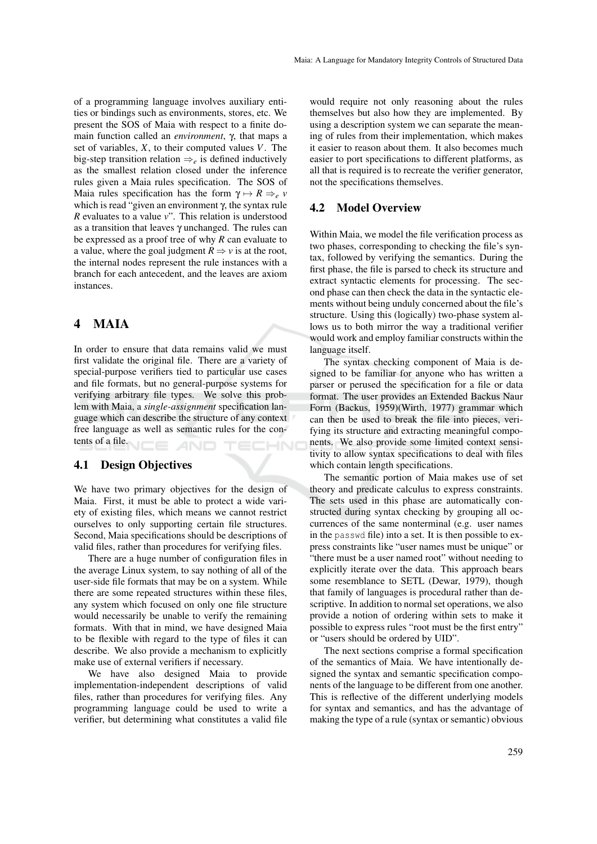of a programming language involves auxiliary entities or bindings such as environments, stores, etc. We present the SOS of Maia with respect to a finite domain function called an *environment*, γ, that maps a set of variables, *X*, to their computed values *V*. The big-step transition relation ⇒*<sup>e</sup>* is defined inductively as the smallest relation closed under the inference rules given a Maia rules specification. The SOS of Maia rules specification has the form  $\gamma \mapsto R \Rightarrow e \nu$ which is read "given an environment γ, the syntax rule *R* evaluates to a value *v*". This relation is understood as a transition that leaves  $\gamma$  unchanged. The rules can be expressed as a proof tree of why *R* can evaluate to a value, where the goal judgment  $R \Rightarrow v$  is at the root, the internal nodes represent the rule instances with a branch for each antecedent, and the leaves are axiom instances.

# 4 MAIA

In order to ensure that data remains valid we must first validate the original file. There are a variety of special-purpose verifiers tied to particular use cases and file formats, but no general-purpose systems for verifying arbitrary file types. We solve this problem with Maia, a *single-assignment* specification language which can describe the structure of any context free language as well as semantic rules for the contents of a file.

# 4.1 Design Objectives

We have two primary objectives for the design of Maia. First, it must be able to protect a wide variety of existing files, which means we cannot restrict ourselves to only supporting certain file structures. Second, Maia specifications should be descriptions of valid files, rather than procedures for verifying files.

There are a huge number of configuration files in the average Linux system, to say nothing of all of the user-side file formats that may be on a system. While there are some repeated structures within these files, any system which focused on only one file structure would necessarily be unable to verify the remaining formats. With that in mind, we have designed Maia to be flexible with regard to the type of files it can describe. We also provide a mechanism to explicitly make use of external verifiers if necessary.

We have also designed Maia to provide implementation-independent descriptions of valid files, rather than procedures for verifying files. Any programming language could be used to write a verifier, but determining what constitutes a valid file

would require not only reasoning about the rules themselves but also how they are implemented. By using a description system we can separate the meaning of rules from their implementation, which makes it easier to reason about them. It also becomes much easier to port specifications to different platforms, as all that is required is to recreate the verifier generator, not the specifications themselves.

### 4.2 Model Overview

Within Maia, we model the file verification process as two phases, corresponding to checking the file's syntax, followed by verifying the semantics. During the first phase, the file is parsed to check its structure and extract syntactic elements for processing. The second phase can then check the data in the syntactic elements without being unduly concerned about the file's structure. Using this (logically) two-phase system allows us to both mirror the way a traditional verifier would work and employ familiar constructs within the language itself.

The syntax checking component of Maia is designed to be familiar for anyone who has written a parser or perused the specification for a file or data format. The user provides an Extended Backus Naur Form (Backus, 1959)(Wirth, 1977) grammar which can then be used to break the file into pieces, verifying its structure and extracting meaningful components. We also provide some limited context sensitivity to allow syntax specifications to deal with files which contain length specifications.

The semantic portion of Maia makes use of set theory and predicate calculus to express constraints. The sets used in this phase are automatically constructed during syntax checking by grouping all occurrences of the same nonterminal (e.g. user names in the passwd file) into a set. It is then possible to express constraints like "user names must be unique" or "there must be a user named root" without needing to explicitly iterate over the data. This approach bears some resemblance to SETL (Dewar, 1979), though that family of languages is procedural rather than descriptive. In addition to normal set operations, we also provide a notion of ordering within sets to make it possible to express rules "root must be the first entry" or "users should be ordered by UID".

The next sections comprise a formal specification of the semantics of Maia. We have intentionally designed the syntax and semantic specification components of the language to be different from one another. This is reflective of the different underlying models for syntax and semantics, and has the advantage of making the type of a rule (syntax or semantic) obvious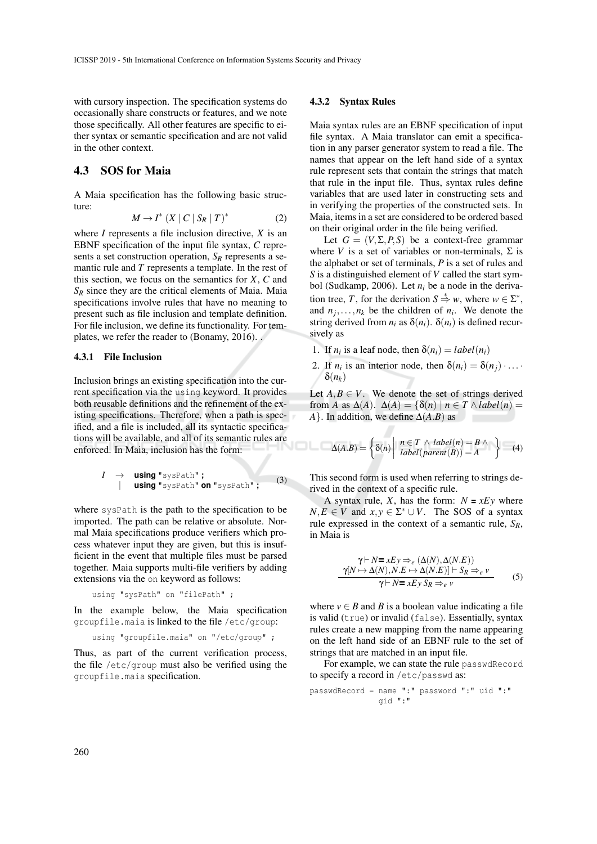with cursory inspection. The specification systems do occasionally share constructs or features, and we note those specifically. All other features are specific to either syntax or semantic specification and are not valid in the other context.

## 4.3 SOS for Maia

A Maia specification has the following basic structure:

$$
M \to I^* \left( X \mid C \mid S_R \mid T \right)^* \tag{2}
$$

where *I* represents a file inclusion directive, *X* is an EBNF specification of the input file syntax, *C* represents a set construction operation, *S<sup>R</sup>* represents a semantic rule and *T* represents a template. In the rest of this section, we focus on the semantics for *X*, *C* and  $S_R$  since they are the critical elements of Maia. Maia specifications involve rules that have no meaning to present such as file inclusion and template definition. For file inclusion, we define its functionality. For templates, we refer the reader to (Bonamy, 2016). .

### 4.3.1 File Inclusion

Inclusion brings an existing specification into the current specification via the using keyword. It provides both reusable definitions and the refinement of the existing specifications. Therefore, when a path is specified, and a file is included, all its syntactic specifications will be available, and all of its semantic rules are enforced. In Maia, inclusion has the form:

$$
I \rightarrow \text{using "sysPath";}
$$
  
\n| using "sysPath" on "sysPath"; (3)

where sysPath is the path to the specification to be imported. The path can be relative or absolute. Normal Maia specifications produce verifiers which process whatever input they are given, but this is insufficient in the event that multiple files must be parsed together. Maia supports multi-file verifiers by adding extensions via the on keyword as follows:

using "sysPath" on "filePath" ;

In the example below, the Maia specification groupfile.maia is linked to the file /etc/group:

```
using "groupfile.maia" on "/etc/group" ;
```
Thus, as part of the current verification process, the file /etc/group must also be verified using the groupfile.maia specification.

#### 4.3.2 Syntax Rules

Maia syntax rules are an EBNF specification of input file syntax. A Maia translator can emit a specification in any parser generator system to read a file. The names that appear on the left hand side of a syntax rule represent sets that contain the strings that match that rule in the input file. Thus, syntax rules define variables that are used later in constructing sets and in verifying the properties of the constructed sets. In Maia, items in a set are considered to be ordered based on their original order in the file being verified.

Let  $G = (V, \Sigma, P, S)$  be a context-free grammar where *V* is a set of variables or non-terminals,  $\Sigma$  is the alphabet or set of terminals, *P* is a set of rules and *S* is a distinguished element of *V* called the start symbol (Sudkamp, 2006). Let  $n_i$  be a node in the derivation tree, *T*, for the derivation  $S \stackrel{*}{\Rightarrow} w$ , where  $w \in \Sigma^*$ , and  $n_j, \ldots, n_k$  be the children of  $n_i$ . We denote the string derived from  $n_i$  as  $\delta(n_i)$ .  $\delta(n_i)$  is defined recursively as

- 1. If  $n_i$  is a leaf node, then  $\delta(n_i) = label(n_i)$
- 2. If  $n_i$  is an interior node, then  $\delta(n_i) = \delta(n_j) \cdot \ldots \cdot$ δ(*nk*)

Let  $A, B \in V$ . We denote the set of strings derived from *A* as  $\Delta(A)$ .  $\Delta(A) = {\delta(n) | n \in T \wedge label(n)}$ *A*}. In addition, we define  $\Delta(A.B)$  as

$$
\Delta(A.B) = \left\{ \delta(n) \middle| \begin{array}{l} n \in T \ \land \ label(n) = B \ \land \\ \text{label}(\text{parent}(B)) = A \end{array} \right\} \tag{4}
$$

This second form is used when referring to strings derived in the context of a specific rule.

A syntax rule, *X*, has the form:  $N = xEy$  where  $N, E \in V$  and  $x, y \in \Sigma^* \cup V$ . The SOS of a syntax rule expressed in the context of a semantic rule, *SR*, in Maia is

$$
\gamma \vdash N = xEy \Rightarrow_e (\Delta(N), \Delta(N.E)) \n\gamma[N \mapsto \Delta(N), N.E \mapsto \Delta(N.E)] \vdash S_R \Rightarrow_e v \n\gamma \vdash N = xEy S_R \Rightarrow_e v
$$
\n(5)

where  $v \in B$  and *B* is a boolean value indicating a file is valid (true) or invalid (false). Essentially, syntax rules create a new mapping from the name appearing on the left hand side of an EBNF rule to the set of strings that are matched in an input file.

For example, we can state the rule passwdRecord to specify a record in /etc/passwd as:

passwdRecord = name ":" password ":" uid ":" gid ":"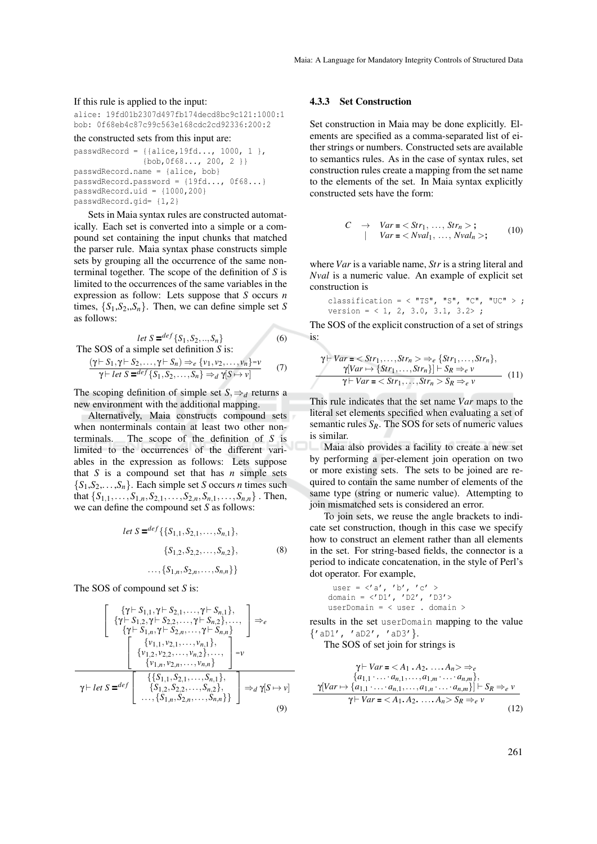#### If this rule is applied to the input:

alice: 19fd01b2307d497fb174decd8bc9c121:1000:1 bob: 0f68eb4c87c99c563e168cdc2cd92336:200:2

```
the constructed sets from this input are:
```

```
passwdRecord = \{{alice, 19fd..., 1000, 1 },
               {bob,0f68..., 200, 2 }}
passwdRecord.name = {alice, bob}
passwdRecord.password = {19fd..., 0f68...}
passwdRecord.uid = {1000, 200}passwdRecord.gid= {1,2}
```
Sets in Maia syntax rules are constructed automatically. Each set is converted into a simple or a compound set containing the input chunks that matched the parser rule. Maia syntax phase constructs simple sets by grouping all the occurrence of the same nonterminal together. The scope of the definition of *S* is limited to the occurrences of the same variables in the expression as follow: Lets suppose that *S* occurs *n* times,  $\{S_1, S_2, S_n\}$ . Then, we can define simple set *S* as follows:

$$
let S = \frac{def}{S_1, S_2, ..., S_n}
$$
  
The SOS of a simple set definition S is: (6)

$$
\frac{(\gamma \vdash S_1, \gamma \vdash S_2, \dots, \gamma \vdash S_n) \Rightarrow_e \{v_1, v_2, \dots, v_n\} = v}{\gamma \vdash let S =^{def} \{S_1, S_2, \dots, S_n\} \Rightarrow_d \gamma[S \mapsto v]}
$$
(7)

The scoping definition of simple set  $S$ ,  $\Rightarrow$  *d* returns a new environment with the additional mapping.

Alternatively, Maia constructs compound sets when nonterminals contain at least two other nonterminals. The scope of the definition of *S* is limited to the occurrences of the different variables in the expression as follows: Lets suppose that  $S$  is a compound set that has  $n$  simple sets  ${S_1, S_2, \ldots, S_n}$ . Each simple set *S* occurs *n* times such that  $\{S_{1,1},\ldots,S_{1,n},S_{2,1},\ldots,S_{2,n},S_{n,1},\ldots,S_{n,n}\}$ . Then, we can define the compound set *S* as follows:

let 
$$
S =^{def} \{ \{S_{1,1}, S_{2,1}, \ldots, S_{n,1} \},
$$
  
 $\{S_{1,2}, S_{2,2}, \ldots, S_{n,2} \},$   
 $\ldots, \{ S_{1,n}, S_{2,n}, \ldots, S_{n,n} \} \}$  (8)

The SOS of compound set *S* is:

$$
\left[\begin{array}{c} {\gamma \vdash S_{1,1}, \gamma \vdash S_{2,1}, \ldots, \gamma \vdash S_{n,1}}, \\ {\gamma \vdash S_{1,2}, \gamma \vdash S_{2,2}, \ldots, \gamma \vdash S_{n,2}}, \ldots, \\ {\gamma \vdash S_{1,n}, \gamma \vdash S_{2,n}, \ldots, \gamma \vdash S_{n,n}} \end{array}\right] \Rightarrow_{e}
$$
  

$$
\left[\begin{array}{c} {\gamma \vdash s_{1,1}, \gamma \vdash S_{2,n}, \ldots, \gamma \vdash S_{n,n}} \\ {\gamma \vdash s_{1,2}, \nu_{2,2}, \ldots, \nu_{n,2}}, \ldots, \\ {\nu_{1,n}, \nu_{2,n}, \ldots, \nu_{n,n}} \end{array}\right] = \nu
$$
  

$$
\gamma \vdash \text{let } S = \text{def} \left[\begin{array}{c} {\{\{S_{1,1}, S_{2,1}, \ldots, S_{n,1}\}, \\ {\{S_{1,2}, S_{2,2}, \ldots, S_{n,2}\}, \\ \ldots, {\{S_{1,n}, S_{2,n}, \ldots, S_{n,n}\}} \end{array}\right] \Rightarrow_{d} \gamma[S \mapsto \nu]
$$
  
(9)

### 4.3.3 Set Construction

Set construction in Maia may be done explicitly. Elements are specified as a comma-separated list of either strings or numbers. Constructed sets are available to semantics rules. As in the case of syntax rules, set construction rules create a mapping from the set name to the elements of the set. In Maia syntax explicitly constructed sets have the form:

$$
C \rightarrow Var =  ;
$$
  
\n
$$
Var =  ;
$$
 (10)

where *Var* is a variable name, *Str* is a string literal and *Nval* is a numeric value. An example of explicit set construction is

$$
\begin{array}{ll}\n\text{classification} &= < "TS", "S", "C", "UC" > ; \\
\text{version} &= < 1, 2, 3.0, 3.1, 3.2 > ;\n\end{array}
$$

The SOS of the explicit construction of a set of strings is:

$$
\gamma \vdash Var = \langle Str_1, \ldots, Str_n \rangle \Rightarrow_e \{Str_1, \ldots, Str_n\},
$$
  
\n
$$
\gamma [Var \mapsto \{Str_1, \ldots, Str_n\}] \vdash S_R \Rightarrow_e v
$$
  
\n
$$
\gamma \vdash Var = \langle Str_1, \ldots, Str_n \rangle S_R \Rightarrow_e v
$$
 (11)

This rule indicates that the set name *Var* maps to the literal set elements specified when evaluating a set of semantic rules  $S_R$ . The SOS for sets of numeric values is similar.

Maia also provides a facility to create a new set by performing a per-element join operation on two or more existing sets. The sets to be joined are required to contain the same number of elements of the same type (string or numeric value). Attempting to join mismatched sets is considered an error.

To join sets, we reuse the angle brackets to indicate set construction, though in this case we specify how to construct an element rather than all elements in the set. For string-based fields, the connector is a period to indicate concatenation, in the style of Perl's dot operator. For example,

$$
user = \langle 'a', 'b', 'c' >
$$
  
domain =  $\langle 'D1', 'D2', 'D3' \rangle$   
userDomain =  $\langle$  user . domain >

results in the set userDomain mapping to the value {'aD1', 'aD2', 'aD3'}.

The SOS of set join for strings is

$$
\gamma \vdash Var = \langle A_1 \cdot A_2, \dots, A_n \rangle \Rightarrow_e
$$
  
\n
$$
\{a_{1,1} \cdot \dots \cdot a_{n,1}, \dots, a_{1,m} \cdot \dots \cdot a_{n,m}\},
$$
  
\n
$$
\gamma [Var \mapsto \{a_{1,1} \cdot \dots \cdot a_{n,1}, \dots, a_{1,n} \cdot \dots \cdot a_{n,m}\}] \vdash S_R \Rightarrow_e v
$$
  
\n
$$
\gamma \vdash Var = \langle A_1 A_2, \dots, A_n \rangle S_R \Rightarrow_e v
$$
  
\n(12)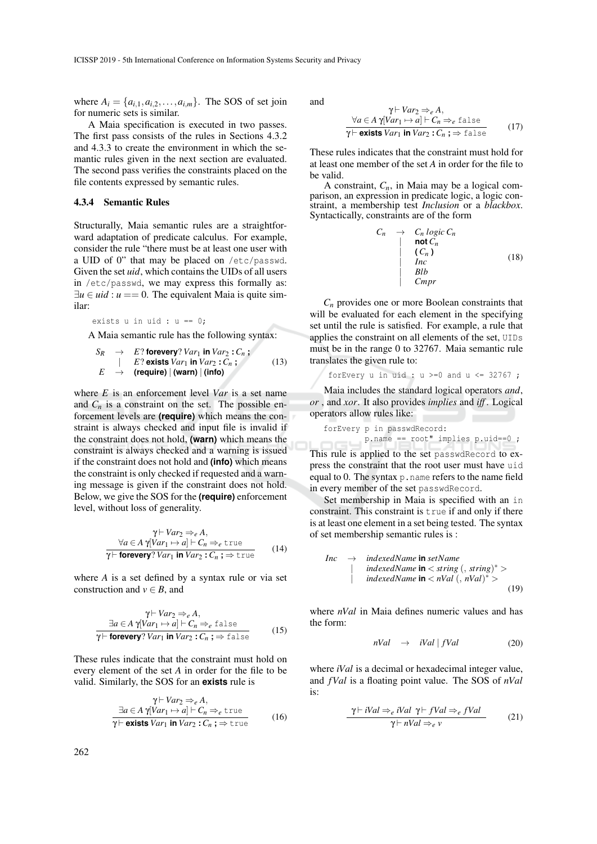where  $A_i = \{a_{i,1}, a_{i,2}, \ldots, a_{i,m}\}$ . The SOS of set join for numeric sets is similar.

A Maia specification is executed in two passes. The first pass consists of the rules in Sections 4.3.2 and 4.3.3 to create the environment in which the semantic rules given in the next section are evaluated. The second pass verifies the constraints placed on the file contents expressed by semantic rules.

### 4.3.4 Semantic Rules

Structurally, Maia semantic rules are a straightforward adaptation of predicate calculus. For example, consider the rule "there must be at least one user with a UID of 0" that may be placed on /etc/passwd. Given the set *uid*, which contains the UIDs of all users in /etc/passwd, we may express this formally as:  $\exists u \in u$  *id* :  $u == 0$ . The equivalent Maia is quite similar:

exists u in uid :  $u == 0$ ;

A Maia semantic rule has the following syntax:

$$
S_R \rightarrow E? \text{ for every? } Var_1 \text{ in } Var_2 : C_n ;
$$
  
\n
$$
E \rightarrow (\text{require}) | (\text{warn}) | (\text{info})
$$
  
\n(13)

where *E* is an enforcement level *Var* is a set name and  $C_n$  is a constraint on the set. The possible enforcement levels are **(require)** which means the constraint is always checked and input file is invalid if the constraint does not hold, **(warn)** which means the constraint is always checked and a warning is issued if the constraint does not hold and **(info)** which means the constraint is only checked if requested and a warning message is given if the constraint does not hold. Below, we give the SOS for the **(require)** enforcement level, without loss of generality.

$$
\gamma \vdash Var_2 \Rightarrow_e A,
$$
  
\n
$$
\forall a \in A \ \gamma[Var_1 \mapsto a] \vdash C_n \Rightarrow_e \text{true}
$$
  
\n
$$
\gamma \vdash \text{forevery?} \ Var_1 \text{ in } Var_2 : C_n ; \Rightarrow \text{true}
$$
 (14)

where *A* is a set defined by a syntax rule or via set construction and  $v \in B$ , and

$$
\gamma \vdash Var_2 \Rightarrow_e A,
$$
  
\n
$$
\exists a \in A \ \gamma[Var_1 \mapsto a] \vdash C_n \Rightarrow_e \text{false}
$$
  
\n
$$
\gamma \vdash \text{forevery?} \ Var_1 \text{ in } Var_2 : C_n ; \Rightarrow \text{false}
$$
 (15)

These rules indicate that the constraint must hold on every element of the set *A* in order for the file to be valid. Similarly, the SOS for an **exists** rule is

$$
\gamma \vdash Var_2 \Rightarrow_e A,
$$
  
\n
$$
\exists a \in A \ \gamma[Var_1 \mapsto a] \vdash C_n \Rightarrow_e \text{true}
$$
  
\n
$$
\gamma \vdash \text{exists } Var_1 \text{ in } Var_2 : C_n \Rightarrow \text{true}
$$
\n(16)

and

$$
\gamma \vdash Var_2 \Rightarrow_e A,
$$
  
\n
$$
\forall a \in A \ \gamma[Var_1 \mapsto a] \vdash C_n \Rightarrow_e \text{false}
$$
  
\n
$$
\gamma \vdash \text{exists } Var_1 \text{ in } Var_2 : C_n \Rightarrow_e \text{false}
$$
 (17)

These rules indicates that the constraint must hold for at least one member of the set *A* in order for the file to be valid.

A constraint,  $C_n$ , in Maia may be a logical comparison, an expression in predicate logic, a logic constraint, a membership test *Inclusion* or a *blackbox*. Syntactically, constraints are of the form

$$
C_n \rightarrow C_n \text{ logic } C_n
$$
\n
$$
\begin{array}{c}\n\mid & \text{not } C_n \\
\mid & C_n \text{ }\n\end{array} \tag{18}
$$
\n
$$
\begin{array}{c}\n\mid & \text{fuc} \\
\mid & \text{Blb} \\
\mid & \text{Cmpr}\n\end{array}
$$

 $C_n$  provides one or more Boolean constraints that will be evaluated for each element in the specifying set until the rule is satisfied. For example, a rule that applies the constraint on all elements of the set, UIDs must be in the range 0 to 32767. Maia semantic rule translates the given rule to:

forEvery u in 
$$
uid : u \ge 0
$$
 and  $u \le 32767$ ;

Maia includes the standard logical operators *and*, *or* , and *xor*. It also provides *implies* and *iff* . Logical operators allow rules like:

forEvery p in passwdRecord: p.name == root" implies p.uid==0 ;

This rule is applied to the set passwdRecord to express the constraint that the root user must have uid equal to 0. The syntax p.name refers to the name field in every member of the set passwdRecord.

Set membership in Maia is specified with an in constraint. This constraint is true if and only if there is at least one element in a set being tested. The syntax of set membership semantic rules is :

$$
Inc \rightarrow indexedName \text{ in setName}
$$
\n
$$
\mid \text{ indexedName in} < \text{string } (, \text{ string})^* > \text{ indexedName in} < nVal (, nVal)^* > \text{ (19)}
$$

where *nVal* in Maia defines numeric values and has the form:

$$
nVal \rightarrow iVal | fVal \tag{20}
$$

where *iVal* is a decimal or hexadecimal integer value, and *fVal* is a floating point value. The SOS of *nVal* is:

$$
\frac{\gamma \vdash iVal \Rightarrow_e iVal \ \gamma \vdash fVal \Rightarrow_e fVal}{\gamma \vdash nVal \Rightarrow_e v} \tag{21}
$$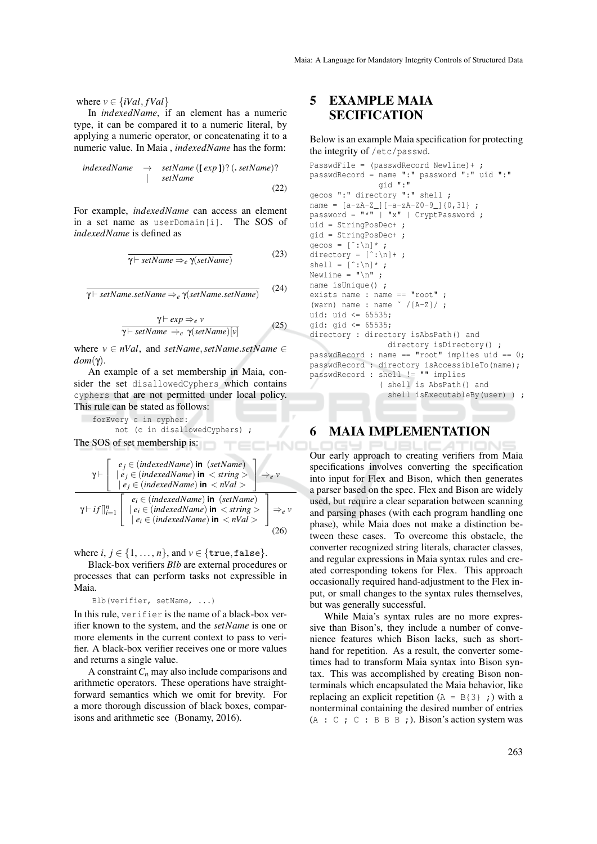where  $v \in \{iVal, fVal\}$ 

In *indexedName*, if an element has a numeric type, it can be compared it to a numeric literal, by applying a numeric operator, or concatenating it to a numeric value. In Maia , *indexedName* has the form:

$$
\begin{array}{rcl}\n\text{indexedName} & \rightarrow & \text{setName} \ (\text{[} \exp \text{]}) ? \ (\text{.} \text{setName}) ? \\
& & \text{setName}\n\end{array}\n\tag{22}
$$

For example, *indexedName* can access an element in a set name as userDomain[i]. The SOS of *indexedName* is defined as

$$
\overline{\gamma \vdash setName \Rightarrow_e \gamma (setName)}
$$
 (23)

γ ` *setName*.*setName* ⇒*<sup>e</sup>* γ(*setName*.*setName*) (24)

$$
\frac{\gamma \vdash exp \Rightarrow_e v}{\gamma \vdash setName \Rightarrow_e \gamma (setName)[v]} \tag{25}
$$

IHNO

where  $v \in nVal$ , and *setName*, *setName*.*setName*  $\in$ *dom*(γ).

An example of a set membership in Maia, consider the set disallowedCyphers which contains cyphers that are not permitted under local policy. This rule can be stated as follows:

forEvery c in cypher:

The SOS of set membership is:

not (c in disallowedCyphers) ;

$$
\gamma \vdash \left[\begin{array}{c} e_j \in (indexedName) \text{ in } (setName) \\ | e_j \in (indexedName) \text{ in } < string > \\ | e_j \in (indexedName) \text{ in } < nVal > \end{array}\right] \Rightarrow e \text{ v}
$$
\n
$$
\gamma \vdash if \left[\right]_{i=1}^{n} \left[\begin{array}{c} e_i \in (indexedName) \text{ in } (setName) \\ | e_i \in (indexedName) \text{ in } < string > \\ | e_i \in (indexedName) \text{ in } < string > \\ | e_i \in (indexedName) \text{ in } < nVal > \end{array}\right] \Rightarrow e \text{ v}
$$
\n(26)

where  $i, j \in \{1, ..., n\}$ , and  $v \in \{\text{true}, \text{false}\}.$ 

Black-box verifiers *Blb* are external procedures or processes that can perform tasks not expressible in Maia.

Blb(verifier, setName, ...)

In this rule, verifier is the name of a black-box verifier known to the system, and the *setName* is one or more elements in the current context to pass to verifier. A black-box verifier receives one or more values and returns a single value.

A constraint*C<sup>n</sup>* may also include comparisons and arithmetic operators. These operations have straightforward semantics which we omit for brevity. For a more thorough discussion of black boxes, comparisons and arithmetic see (Bonamy, 2016).

# 5 EXAMPLE MAIA **SECIFICATION**

Below is an example Maia specification for protecting the integrity of /etc/passwd.

```
PasswdFile = (passwdRecord Newline)+ ;
passwdRecord = name ":" password ":" uid ":"
                 gid ":"
gecos ":" directory ":" shell ;
name = [a-zA-Z][-a-zA-Z0-9]\{0,31\};
password = " * " | "x" | CryptPassword ;uid = StringPosDec+ ;
gid = StringPosDec+ ;
gecos = [\hat{ } \cdot \hat{ } \cdot \hat{n}]*;
directory = [\hat{ } \cdot ; \hat{} \cdot ] + ;shell = [\hat{ } \cdot \hat{ } \cdot \hat{n}] ;
Newline = "\n\cdot\cdot\cdot]name isUnique() ;
exists name : name == "root" ;
(warn) name : name \tilde{f} /[A-Z]/;
uid: uid <= 65535;
gid: gid <= 65535;
directory : directory isAbsPath() and
                    directory isDirectory() ;
passwdRecord : name == "root" implies uid == 0;
passwdRecord : directory isAccessibleTo(name);
passwdRecord : shell != "" implies
                  ( shell is AbsPath() and
                    shell isExecutableBy(user) ) ;
```
# 6 MAIA IMPLEMENTATION

Our early approach to creating verifiers from Maia specifications involves converting the specification into input for Flex and Bison, which then generates a parser based on the spec. Flex and Bison are widely used, but require a clear separation between scanning and parsing phases (with each program handling one phase), while Maia does not make a distinction between these cases. To overcome this obstacle, the converter recognized string literals, character classes, and regular expressions in Maia syntax rules and created corresponding tokens for Flex. This approach occasionally required hand-adjustment to the Flex input, or small changes to the syntax rules themselves, but was generally successful.

While Maia's syntax rules are no more expressive than Bison's, they include a number of convenience features which Bison lacks, such as shorthand for repetition. As a result, the converter sometimes had to transform Maia syntax into Bison syntax. This was accomplished by creating Bison nonterminals which encapsulated the Maia behavior, like replacing an explicit repetition  $(A = B\{3\})$ ; with a nonterminal containing the desired number of entries  $(A : C : C : B B B ;)$ . Bison's action system was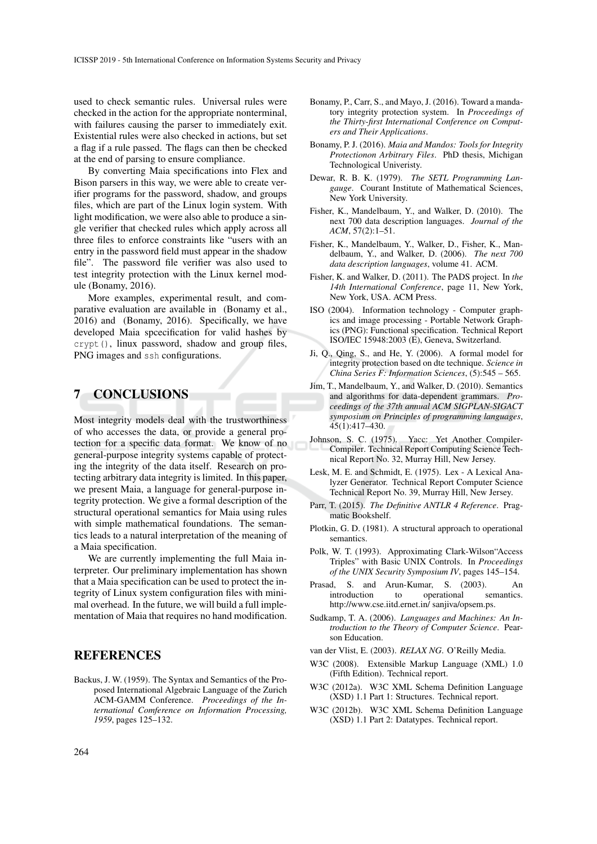used to check semantic rules. Universal rules were checked in the action for the appropriate nonterminal, with failures causing the parser to immediately exit. Existential rules were also checked in actions, but set a flag if a rule passed. The flags can then be checked at the end of parsing to ensure compliance.

By converting Maia specifications into Flex and Bison parsers in this way, we were able to create verifier programs for the password, shadow, and groups files, which are part of the Linux login system. With light modification, we were also able to produce a single verifier that checked rules which apply across all three files to enforce constraints like "users with an entry in the password field must appear in the shadow file". The password file verifier was also used to test integrity protection with the Linux kernel module (Bonamy, 2016).

More examples, experimental result, and comparative evaluation are available in (Bonamy et al., 2016) and (Bonamy, 2016). Specifically, we have developed Maia spcecification for valid hashes by crypt(), linux password, shadow and group files, PNG images and ssh configurations.

## 7 CONCLUSIONS

Most integrity models deal with the trustworthiness of who accesses the data, or provide a general protection for a specific data format. We know of no general-purpose integrity systems capable of protecting the integrity of the data itself. Research on protecting arbitrary data integrity is limited. In this paper, we present Maia, a language for general-purpose integrity protection. We give a formal description of the structural operational semantics for Maia using rules with simple mathematical foundations. The semantics leads to a natural interpretation of the meaning of a Maia specification.

We are currently implementing the full Maia interpreter. Our preliminary implementation has shown that a Maia specification can be used to protect the integrity of Linux system configuration files with minimal overhead. In the future, we will build a full implementation of Maia that requires no hand modification.

# REFERENCES

Backus, J. W. (1959). The Syntax and Semantics of the Proposed International Algebraic Language of the Zurich ACM-GAMM Conference. *Proceedings of the International Comference on Information Processing, 1959*, pages 125–132.

- Bonamy, P., Carr, S., and Mayo, J. (2016). Toward a mandatory integrity protection system. In *Proceedings of the Thirty-first International Conference on Computers and Their Applications*.
- Bonamy, P. J. (2016). *Maia and Mandos: Tools for Integrity Protectionon Arbitrary Files*. PhD thesis, Michigan Technological Univeristy.
- Dewar, R. B. K. (1979). *The SETL Programming Langauge*. Courant Institute of Mathematical Sciences, New York University.
- Fisher, K., Mandelbaum, Y., and Walker, D. (2010). The next 700 data description languages. *Journal of the ACM*, 57(2):1–51.
- Fisher, K., Mandelbaum, Y., Walker, D., Fisher, K., Mandelbaum, Y., and Walker, D. (2006). *The next 700 data description languages*, volume 41. ACM.
- Fisher, K. and Walker, D. (2011). The PADS project. In *the 14th International Conference*, page 11, New York, New York, USA. ACM Press.
- ISO (2004). Information technology Computer graphics and image processing - Portable Network Graphics (PNG): Functional specification. Technical Report ISO/IEC 15948:2003 (E), Geneva, Switzerland.
- Ji, Q., Qing, S., and He, Y. (2006). A formal model for integrity protection based on dte technique. *Science in China Series F: Information Sciences*, (5):545 – 565.
- Jim, T., Mandelbaum, Y., and Walker, D. (2010). Semantics and algorithms for data-dependent grammars. *Proceedings of the 37th annual ACM SIGPLAN-SIGACT symposium on Principles of programming languages*, 45(1):417–430.
- Johnson, S. C. (1975). Yacc: Yet Another Compiler-Compiler. Technical Report Computing Science Technical Report No. 32, Murray Hill, New Jersey.
- Lesk, M. E. and Schmidt, E. (1975). Lex A Lexical Analyzer Generator. Technical Report Computer Science Technical Report No. 39, Murray Hill, New Jersey.
- Parr, T. (2015). *The Definitive ANTLR 4 Reference*. Pragmatic Bookshelf.
- Plotkin, G. D. (1981). A structural approach to operational semantics.
- Polk, W. T. (1993). Approximating Clark-Wilson"Access Triples" with Basic UNIX Controls. In *Proceedings of the UNIX Security Symposium IV*, pages 145–154.
- Prasad, S. and Arun-Kumar, S. (2003). An introduction to operational semantics. http://www.cse.iitd.ernet.in/ sanjiva/opsem.ps.
- Sudkamp, T. A. (2006). *Languages and Machines: An Introduction to the Theory of Computer Science*. Pearson Education.
- van der Vlist, E. (2003). *RELAX NG*. O'Reilly Media.
- W3C (2008). Extensible Markup Language (XML) 1.0 (Fifth Edition). Technical report.
- W3C (2012a). W3C XML Schema Definition Language (XSD) 1.1 Part 1: Structures. Technical report.
- W3C (2012b). W3C XML Schema Definition Language (XSD) 1.1 Part 2: Datatypes. Technical report.